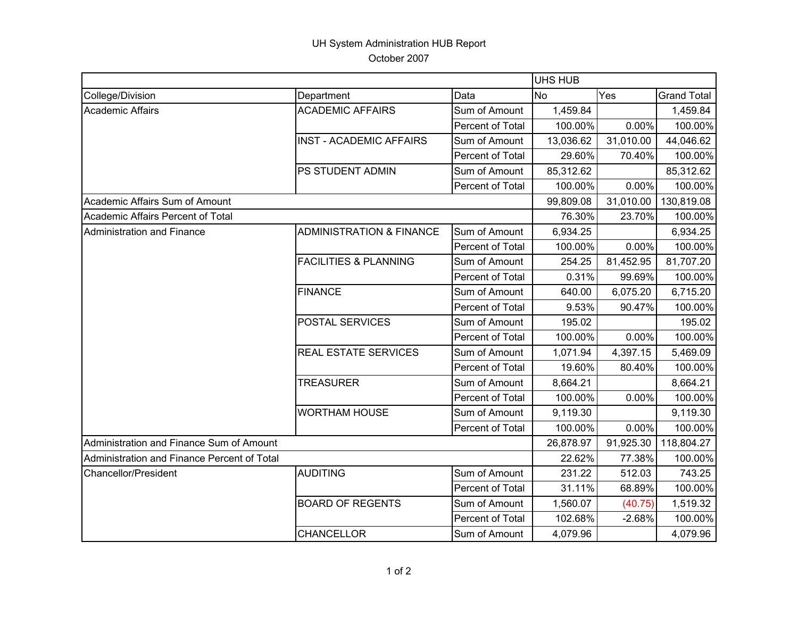## UH System Administration HUB Report October 2007

|                                             |                                     |                  | <b>UHS HUB</b> |           |                    |  |
|---------------------------------------------|-------------------------------------|------------------|----------------|-----------|--------------------|--|
| College/Division                            | Department                          | Data             | <b>No</b>      | Yes       | <b>Grand Total</b> |  |
| <b>Academic Affairs</b>                     | <b>ACADEMIC AFFAIRS</b>             | Sum of Amount    | 1,459.84       |           | 1,459.84           |  |
|                                             |                                     | Percent of Total | 100.00%        | 0.00%     | 100.00%            |  |
|                                             | <b>INST - ACADEMIC AFFAIRS</b>      | Sum of Amount    | 13,036.62      | 31,010.00 | 44,046.62          |  |
|                                             |                                     | Percent of Total | 29.60%         | 70.40%    | 100.00%            |  |
|                                             | PS STUDENT ADMIN                    | Sum of Amount    | 85,312.62      |           | 85,312.62          |  |
|                                             |                                     | Percent of Total | 100.00%        | 0.00%     | 100.00%            |  |
| Academic Affairs Sum of Amount              |                                     |                  | 99,809.08      | 31,010.00 | 130,819.08         |  |
| Academic Affairs Percent of Total           |                                     |                  | 76.30%         | 23.70%    | 100.00%            |  |
| Administration and Finance                  | <b>ADMINISTRATION &amp; FINANCE</b> | Sum of Amount    | 6,934.25       |           | 6,934.25           |  |
|                                             |                                     | Percent of Total | 100.00%        | 0.00%     | 100.00%            |  |
|                                             | <b>FACILITIES &amp; PLANNING</b>    | Sum of Amount    | 254.25         | 81,452.95 | 81,707.20          |  |
|                                             |                                     | Percent of Total | 0.31%          | 99.69%    | 100.00%            |  |
|                                             | <b>FINANCE</b>                      | Sum of Amount    | 640.00         | 6,075.20  | 6,715.20           |  |
|                                             |                                     | Percent of Total | 9.53%          | 90.47%    | 100.00%            |  |
|                                             | <b>POSTAL SERVICES</b>              | Sum of Amount    | 195.02         |           | 195.02             |  |
|                                             |                                     | Percent of Total | 100.00%        | 0.00%     | 100.00%            |  |
|                                             | <b>REAL ESTATE SERVICES</b>         | Sum of Amount    | 1,071.94       | 4,397.15  | 5,469.09           |  |
|                                             |                                     | Percent of Total | 19.60%         | 80.40%    | 100.00%            |  |
|                                             | <b>TREASURER</b>                    | Sum of Amount    | 8,664.21       |           | 8,664.21           |  |
|                                             |                                     | Percent of Total | 100.00%        | 0.00%     | 100.00%            |  |
|                                             | <b>WORTHAM HOUSE</b>                | Sum of Amount    | 9,119.30       |           | 9,119.30           |  |
|                                             |                                     | Percent of Total | 100.00%        | 0.00%     | 100.00%            |  |
| Administration and Finance Sum of Amount    |                                     |                  | 26,878.97      | 91,925.30 | 118,804.27         |  |
| Administration and Finance Percent of Total |                                     |                  | 22.62%         | 77.38%    | 100.00%            |  |
| <b>Chancellor/President</b>                 | <b>AUDITING</b>                     | Sum of Amount    | 231.22         | 512.03    | 743.25             |  |
|                                             |                                     | Percent of Total | 31.11%         | 68.89%    | 100.00%            |  |
|                                             | <b>BOARD OF REGENTS</b>             | Sum of Amount    | 1,560.07       | (40.75)   | 1,519.32           |  |
|                                             |                                     | Percent of Total | 102.68%        | $-2.68%$  | 100.00%            |  |
|                                             | <b>CHANCELLOR</b>                   | Sum of Amount    | 4,079.96       |           | 4,079.96           |  |